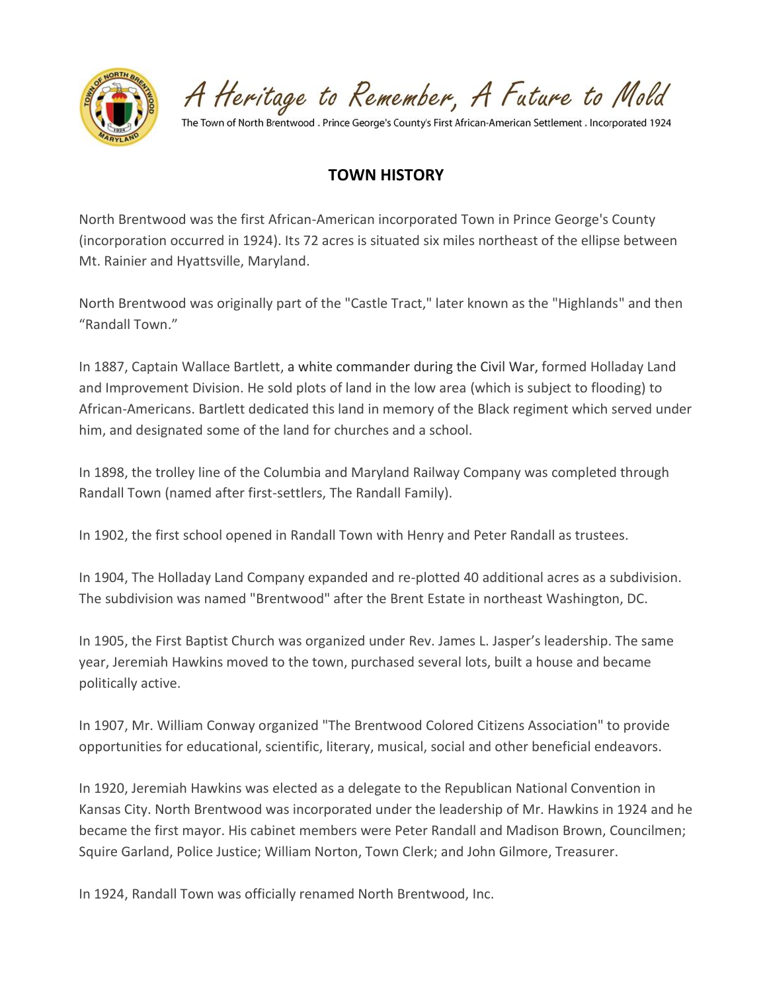

A Heritage to Remember, A Future to Mold

The Town of North Brentwood . Prince George's County's First African-American Settlement . Incorporated 1924

## **TOWN HISTORY**

North Brentwood was the first African-American incorporated Town in Prince George's County (incorporation occurred in 1924). Its 72 acres is situated six miles northeast of the ellipse between Mt. Rainier and Hyattsville, Maryland.

North Brentwood was originally part of the "Castle Tract," later known as the "Highlands" and then "Randall Town."

In 1887, Captain Wallace Bartlett, a white commander during the Civil War, formed Holladay Land and Improvement Division. He sold plots of land in the low area (which is subject to flooding) to African-Americans. Bartlett dedicated this land in memory of the Black regiment which served under him, and designated some of the land for churches and a school.

In 1898, the trolley line of the Columbia and Maryland Railway Company was completed through Randall Town (named after first-settlers, The Randall Family).

In 1902, the first school opened in Randall Town with Henry and Peter Randall as trustees.

In 1904, The Holladay Land Company expanded and re-plotted 40 additional acres as a subdivision. The subdivision was named "Brentwood" after the Brent Estate in northeast Washington, DC.

In 1905, the First Baptist Church was organized under Rev. James L. Jasper's leadership. The same year, Jeremiah Hawkins moved to the town, purchased several lots, built a house and became politically active.

In 1907, Mr. William Conway organized "The Brentwood Colored Citizens Association" to provide opportunities for educational, scientific, literary, musical, social and other beneficial endeavors.

In 1920, Jeremiah Hawkins was elected as a delegate to the Republican National Convention in Kansas City. North Brentwood was incorporated under the leadership of Mr. Hawkins in 1924 and he became the first mayor. His cabinet members were Peter Randall and Madison Brown, Councilmen; Squire Garland, Police Justice; William Norton, Town Clerk; and John Gilmore, Treasurer.

In 1924, Randall Town was officially renamed North Brentwood, Inc.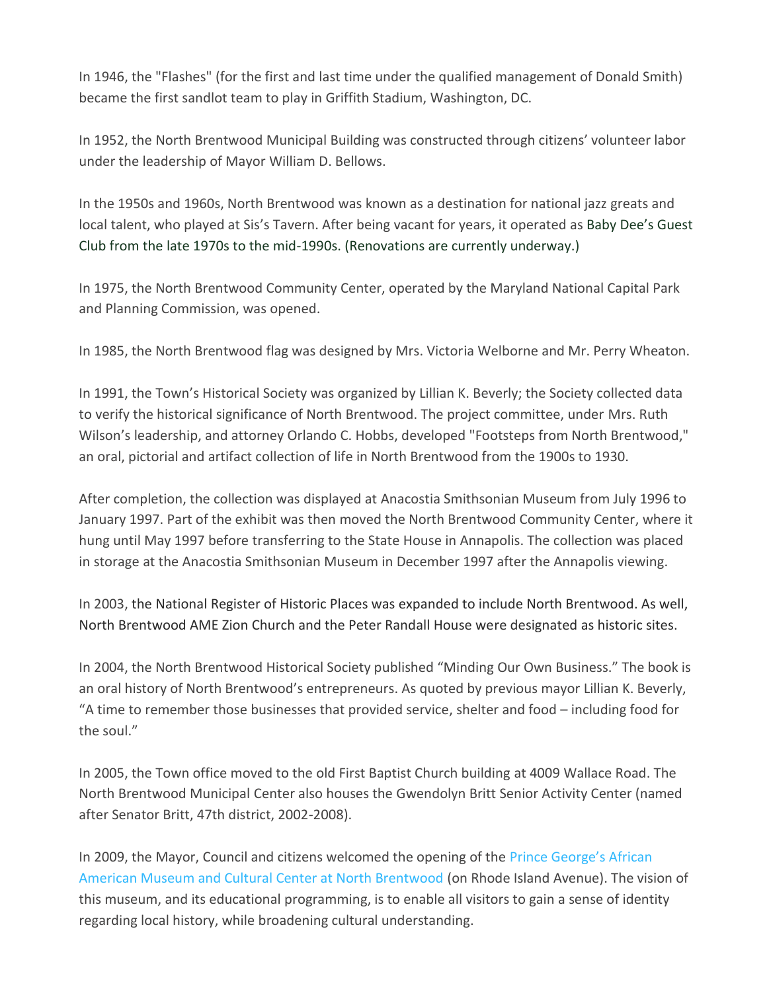In 1946, the "Flashes" (for the first and last time under the qualified management of Donald Smith) became the first sandlot team to play in Griffith Stadium, Washington, DC.

In 1952, the North Brentwood Municipal Building was constructed through citizens' volunteer labor under the leadership of Mayor William D. Bellows.

In the 1950s and 1960s, North Brentwood was known as a destination for national jazz greats and local talent, who played at Sis's Tavern. After being vacant for years, it operated as Baby Dee's Guest Club from the late 1970s to the mid-1990s. (Renovations are currently underway.)

In 1975, the North Brentwood Community Center, operated by the Maryland National Capital Park and Planning Commission, was opened.

In 1985, the North Brentwood flag was designed by Mrs. Victoria Welborne and Mr. Perry Wheaton.

In 1991, the Town's Historical Society was organized by Lillian K. Beverly; the Society collected data to verify the historical significance of North Brentwood. The project committee, under Mrs. Ruth Wilson's leadership, and attorney Orlando C. Hobbs, developed "Footsteps from North Brentwood," an oral, pictorial and artifact collection of life in North Brentwood from the 1900s to 1930.

After completion, the collection was displayed at Anacostia Smithsonian Museum from July 1996 to January 1997. Part of the exhibit was then moved the North Brentwood Community Center, where it hung until May 1997 before transferring to the State House in Annapolis. The collection was placed in storage at the Anacostia Smithsonian Museum in December 1997 after the Annapolis viewing.

In 2003, the National Register of Historic Places was expanded to include North Brentwood. As well, North Brentwood AME Zion Church and the Peter Randall House were designated as historic sites.

In 2004, the North Brentwood Historical Society published "Minding Our Own Business." The book is an oral history of North Brentwood's entrepreneurs. As quoted by previous mayor Lillian K. Beverly, "A time to remember those businesses that provided service, shelter and food – including food for the soul."

In 2005, the Town office moved to the old First Baptist Church building at 4009 Wallace Road. The North Brentwood Municipal Center also houses the Gwendolyn Britt Senior Activity Center (named after Senator Britt, 47th district, 2002-2008).

In 2009, the Mayor, Council and citizens welcomed the opening of the [Prince George's African](https://www.pgaamcc.org/)  [American Museum and Cultural Center at North Brentwood](https://www.pgaamcc.org/) (on Rhode Island Avenue). The vision of this museum, and its educational programming, is to enable all visitors to gain a sense of identity regarding local history, while broadening cultural understanding.